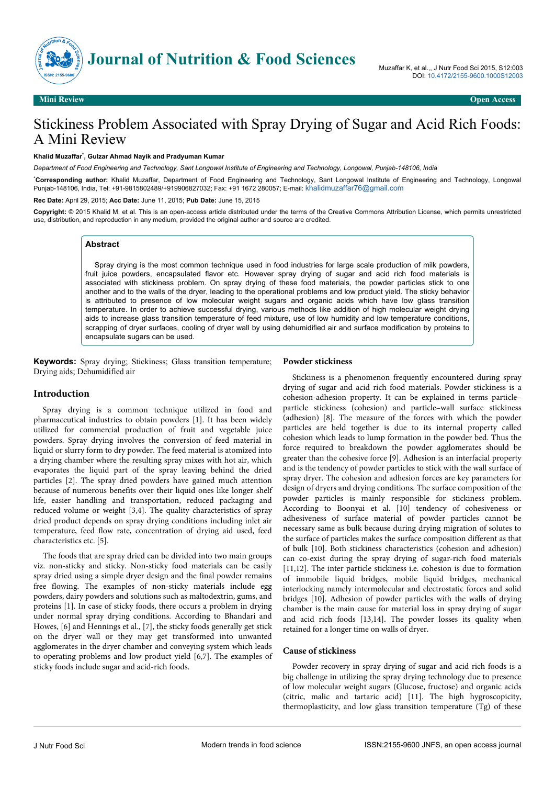

# Stickiness Problem Associated with Spray Drying of Sugar and Acid Rich Foods: A Mini Review

#### **Khalid Muzaffar**\* **, Gulzar Ahmad Nayik and Pradyuman Kumar**

*Department of Food Engineering and Technology, Sant Longowal Institute of Engineering and Technology, Longowal, Punjab-148106, India*

\***Corresponding author:** Khalid Muzaffar, Department of Food Engineering and Technology, Sant Longowal Institute of Engineering and Technology, Longowal Punjab-148106, India, Tel: +91-9815802489/+919906827032; Fax: +91 1672 280057; E-mail: [khalidmuzaffar76@gmail.com](mailto:khalidmuzaffar76@gmail.com)

**Rec Date:** April 29, 2015; **Acc Date:** June 11, 2015; **Pub Date:** June 15, 2015

**Copyright:** © 2015 Khalid M, et al. This is an open-access article distributed under the terms of the Creative Commons Attribution License, which permits unrestricted use, distribution, and reproduction in any medium, provided the original author and source are credited.

### **Abstract**

Spray drying is the most common technique used in food industries for large scale production of milk powders, fruit juice powders, encapsulated flavor etc. However spray drying of sugar and acid rich food materials is associated with stickiness problem. On spray drying of these food materials, the powder particles stick to one another and to the walls of the dryer, leading to the operational problems and low product yield. The sticky behavior is attributed to presence of low molecular weight sugars and organic acids which have low glass transition temperature. In order to achieve successful drying, various methods like addition of high molecular weight drying aids to increase glass transition temperature of feed mixture, use of low humidity and low temperature conditions, scrapping of dryer surfaces, cooling of dryer wall by using dehumidified air and surface modification by proteins to encapsulate sugars can be used.

**Keywords:** Spray drying; Stickiness; Glass transition temperature; Drying aids; Dehumidified air

# **Introduction**

Spray drying is a common technique utilized in food and pharmaceutical industries to obtain powders [1]. It has been widely utilized for commercial production of fruit and vegetable juice powders. Spray drying involves the conversion of feed material in liquid or slurry form to dry powder. The feed material is atomized into a drying chamber where the resulting spray mixes with hot air, which evaporates the liquid part of the spray leaving behind the dried particles [2]. The spray dried powders have gained much attention because of numerous benefits over their liquid ones like longer shelf life, easier handling and transportation, reduced packaging and reduced volume or weight [3,4]. The quality characteristics of spray dried product depends on spray drying conditions including inlet air temperature, feed flow rate, concentration of drying aid used, feed characteristics etc. [5].

The foods that are spray dried can be divided into two main groups viz. non-sticky and sticky. Non-sticky food materials can be easily spray dried using a simple dryer design and the final powder remains free flowing. The examples of non-sticky materials include egg powders, dairy powders and solutions such as maltodextrin, gums, and proteins [1]. In case of sticky foods, there occurs a problem in drying under normal spray drying conditions. According to Bhandari and Howes, [6] and Hennings et al., [7], the sticky foods generally get stick on the dryer wall or they may get transformed into unwanted agglomerates in the dryer chamber and conveying system which leads to operating problems and low product yield [6,7]. The examples of sticky foods include sugar and acid-rich foods.

# **Powder stickiness**

Stickiness is a phenomenon frequently encountered during spray drying of sugar and acid rich food materials. Powder stickiness is a cohesion-adhesion property. It can be explained in terms particle– particle stickiness (cohesion) and particle–wall surface stickiness (adhesion) [8]. The measure of the forces with which the powder particles are held together is due to its internal property called cohesion which leads to lump formation in the powder bed. Thus the force required to breakdown the powder agglomerates should be greater than the cohesive force [9]. Adhesion is an interfacial property and is the tendency of powder particles to stick with the wall surface of spray dryer. The cohesion and adhesion forces are key parameters for design of dryers and drying conditions. The surface composition of the powder particles is mainly responsible for stickiness problem. According to Boonyai et al. [10] tendency of cohesiveness or adhesiveness of surface material of powder particles cannot be necessary same as bulk because during drying migration of solutes to the surface of particles makes the surface composition different as that of bulk [10]. Both stickiness characteristics (cohesion and adhesion) can co-exist during the spray drying of sugar-rich food materials [11,12]. The inter particle stickiness i.e. cohesion is due to formation of immobile liquid bridges, mobile liquid bridges, mechanical interlocking namely intermolecular and electrostatic forces and solid bridges [10]. Adhesion of powder particles with the walls of drying chamber is the main cause for material loss in spray drying of sugar and acid rich foods [13,14]. The powder losses its quality when retained for a longer time on walls of dryer.

#### **Cause of stickiness**

Powder recovery in spray drying of sugar and acid rich foods is a big challenge in utilizing the spray drying technology due to presence of low molecular weight sugars (Glucose, fructose) and organic acids (citric, malic and tartaric acid) [11]. The high hygroscopicity, thermoplasticity, and low glass transition temperature (Tg) of these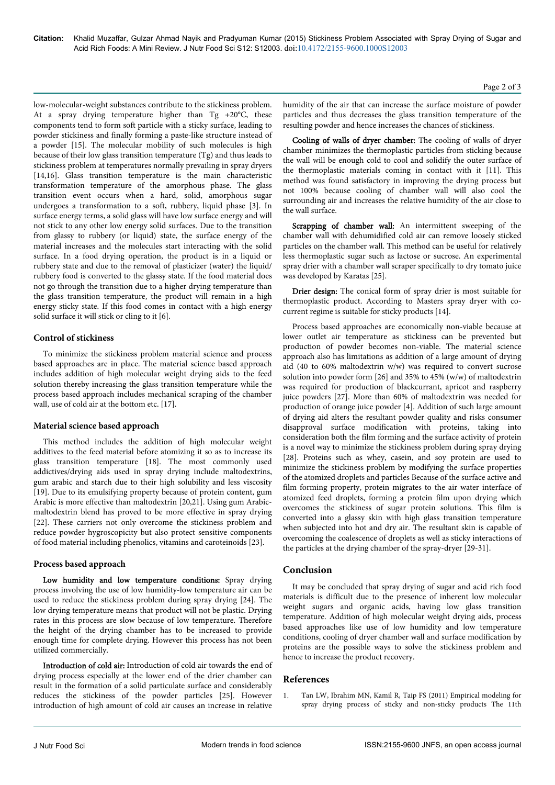low-molecular-weight substances contribute to the stickiness problem. At a spray drying temperature higher than  $Tg + 20^{\circ}C$ , these components tend to form soft particle with a sticky surface, leading to powder stickiness and finally forming a paste-like structure instead of a powder [15]. The molecular mobility of such molecules is high because of their low glass transition temperature (Tg) and thus leads to stickiness problem at temperatures normally prevailing in spray dryers [14,16]. Glass transition temperature is the main characteristic transformation temperature of the amorphous phase. The glass transition event occurs when a hard, solid, amorphous sugar undergoes a transformation to a soft, rubbery, liquid phase [3]. In surface energy terms, a solid glass will have low surface energy and will not stick to any other low energy solid surfaces. Due to the transition from glassy to rubbery (or liquid) state, the surface energy of the material increases and the molecules start interacting with the solid surface. In a food drying operation, the product is in a liquid or rubbery state and due to the removal of plasticizer (water) the liquid/ rubbery food is converted to the glassy state. If the food material does not go through the transition due to a higher drying temperature than the glass transition temperature, the product will remain in a high energy sticky state. If this food comes in contact with a high energy solid surface it will stick or cling to it [6].

# **Control of stickiness**

To minimize the stickiness problem material science and process based approaches are in place. The material science based approach includes addition of high molecular weight drying aids to the feed solution thereby increasing the glass transition temperature while the process based approach includes mechanical scraping of the chamber wall, use of cold air at the bottom etc. [17].

# **Material science based approach**

This method includes the addition of high molecular weight additives to the feed material before atomizing it so as to increase its glass transition temperature [18]. The most commonly used addictives/drying aids used in spray drying include maltodextrins, gum arabic and starch due to their high solubility and less viscosity [19]. Due to its emulsifying property because of protein content, gum Arabic is more effective than maltodextrin [20,21]. Using gum Arabicmaltodextrin blend has proved to be more effective in spray drying [22]. These carriers not only overcome the stickiness problem and reduce powder hygroscopicity but also protect sensitive components of food material including phenolics, vitamins and caroteinoids [23].

# **Process based approach**

Low humidity and low temperature conditions: Spray drying process involving the use of low humidity-low temperature air can be used to reduce the stickiness problem during spray drying [24]. The low drying temperature means that product will not be plastic. Drying rates in this process are slow because of low temperature. Therefore the height of the drying chamber has to be increased to provide enough time for complete drying. However this process has not been utilized commercially.

Introduction of cold air: Introduction of cold air towards the end of drying process especially at the lower end of the drier chamber can result in the formation of a solid particulate surface and considerably reduces the stickiness of the powder particles [25]. However introduction of high amount of cold air causes an increase in relative Page 2 of 3

humidity of the air that can increase the surface moisture of powder particles and thus decreases the glass transition temperature of the resulting powder and hence increases the chances of stickiness.

Cooling of walls of dryer chamber: The cooling of walls of dryer chamber minimizes the thermoplastic particles from sticking because the wall will be enough cold to cool and solidify the outer surface of the thermoplastic materials coming in contact with it [11]. This method was found satisfactory in improving the drying process but not 100% because cooling of chamber wall will also cool the surrounding air and increases the relative humidity of the air close to the wall surface.

Scrapping of chamber wall: An intermittent sweeping of the chamber wall with dehumidified cold air can remove loosely sticked particles on the chamber wall. This method can be useful for relatively less thermoplastic sugar such as lactose or sucrose. An experimental spray drier with a chamber wall scraper specifically to dry tomato juice was developed by Karatas [25].

Drier design: The conical form of spray drier is most suitable for thermoplastic product. According to Masters spray dryer with cocurrent regime is suitable for sticky products [14].

Process based approaches are economically non-viable because at lower outlet air temperature as stickiness can be prevented but production of powder becomes non-viable. The material science approach also has limitations as addition of a large amount of drying aid (40 to 60% maltodextrin w/w) was required to convert sucrose solution into powder form [26] and 35% to 45% (w/w) of maltodextrin was required for production of blackcurrant, apricot and raspberry juice powders [27]. More than 60% of maltodextrin was needed for production of orange juice powder [4]. Addition of such large amount of drying aid alters the resultant powder quality and risks consumer disapproval surface modification with proteins, taking into consideration both the film forming and the surface activity of protein is a novel way to minimize the stickiness problem during spray drying [28]. Proteins such as whey, casein, and soy protein are used to minimize the stickiness problem by modifying the surface properties of the atomized droplets and particles Because of the surface active and film forming property, protein migrates to the air water interface of atomized feed droplets, forming a protein film upon drying which overcomes the stickiness of sugar protein solutions. This film is converted into a glassy skin with high glass transition temperature when subjected into hot and dry air. The resultant skin is capable of overcoming the coalescence of droplets as well as sticky interactions of the particles at the drying chamber of the spray-dryer [29-31].

# **Conclusion**

It may be concluded that spray drying of sugar and acid rich food materials is difficult due to the presence of inherent low molecular weight sugars and organic acids, having low glass transition temperature. Addition of high molecular weight drying aids, process based approaches like use of low humidity and low temperature conditions, cooling of dryer chamber wall and surface modification by proteins are the possible ways to solve the stickiness problem and hence to increase the product recovery.

# **References**

1. [Tan LW, Ibrahim MN, Kamil R, Taip FS \(2011\) Empirical modeling for](http://www.sciencedirect.com/science/article/pii/S2211601X11001052) [spray drying process of sticky and non-sticky products The 11th](http://www.sciencedirect.com/science/article/pii/S2211601X11001052)